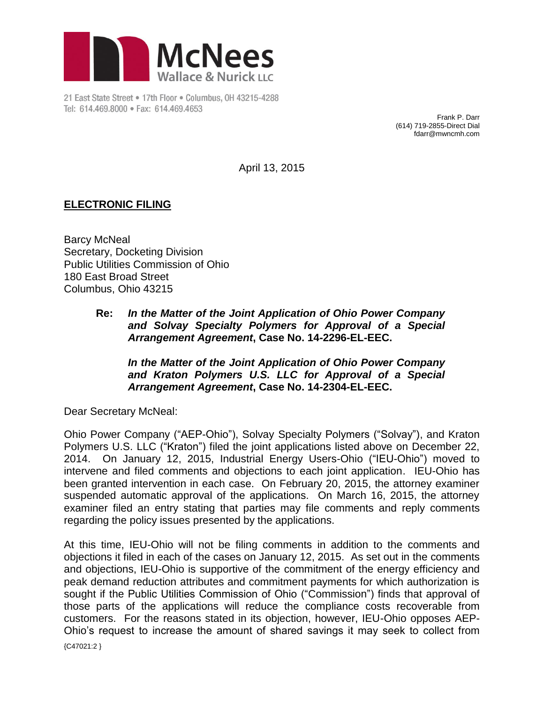

21 East State Street . 17th Floor . Columbus, OH 43215-4288 Tel: 614.469.8000 · Fax: 614.469.4653

Frank P. Darr (614) 719-2855-Direct Dial fdarr@mwncmh.com

April 13, 2015

## **ELECTRONIC FILING**

Barcy McNeal Secretary, Docketing Division Public Utilities Commission of Ohio 180 East Broad Street Columbus, Ohio 43215

> **Re:** *In the Matter of the Joint Application of Ohio Power Company and Solvay Specialty Polymers for Approval of a Special Arrangement Agreement***, Case No. 14-2296-EL-EEC.**

*In the Matter of the Joint Application of Ohio Power Company and Kraton Polymers U.S. LLC for Approval of a Special Arrangement Agreement***, Case No. 14-2304-EL-EEC.**

Dear Secretary McNeal:

Ohio Power Company ("AEP-Ohio"), Solvay Specialty Polymers ("Solvay"), and Kraton Polymers U.S. LLC ("Kraton") filed the joint applications listed above on December 22, 2014. On January 12, 2015, Industrial Energy Users-Ohio ("IEU-Ohio") moved to intervene and filed comments and objections to each joint application. IEU-Ohio has been granted intervention in each case. On February 20, 2015, the attorney examiner suspended automatic approval of the applications. On March 16, 2015, the attorney examiner filed an entry stating that parties may file comments and reply comments regarding the policy issues presented by the applications.

At this time, IEU-Ohio will not be filing comments in addition to the comments and objections it filed in each of the cases on January 12, 2015. As set out in the comments and objections, IEU-Ohio is supportive of the commitment of the energy efficiency and peak demand reduction attributes and commitment payments for which authorization is sought if the Public Utilities Commission of Ohio ("Commission") finds that approval of those parts of the applications will reduce the compliance costs recoverable from customers. For the reasons stated in its objection, however, IEU-Ohio opposes AEP-Ohio's request to increase the amount of shared savings it may seek to collect from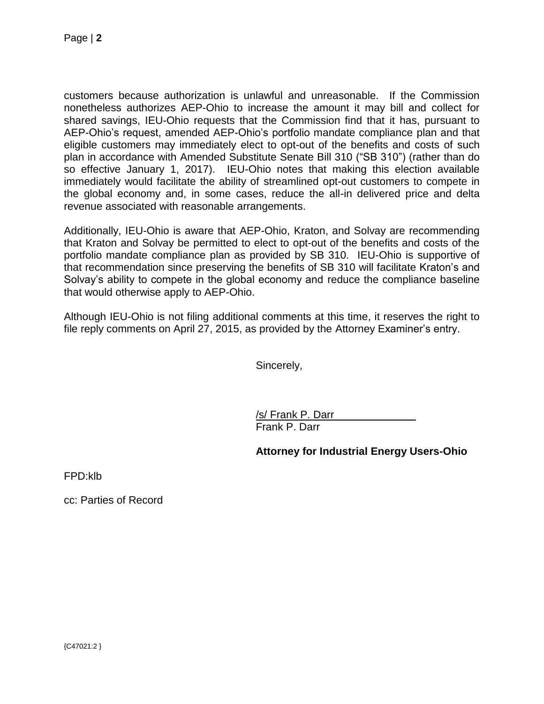customers because authorization is unlawful and unreasonable. If the Commission nonetheless authorizes AEP-Ohio to increase the amount it may bill and collect for shared savings, IEU-Ohio requests that the Commission find that it has, pursuant to AEP-Ohio's request, amended AEP-Ohio's portfolio mandate compliance plan and that eligible customers may immediately elect to opt-out of the benefits and costs of such plan in accordance with Amended Substitute Senate Bill 310 ("SB 310") (rather than do so effective January 1, 2017). IEU-Ohio notes that making this election available immediately would facilitate the ability of streamlined opt-out customers to compete in the global economy and, in some cases, reduce the all-in delivered price and delta revenue associated with reasonable arrangements.

Additionally, IEU-Ohio is aware that AEP-Ohio, Kraton, and Solvay are recommending that Kraton and Solvay be permitted to elect to opt-out of the benefits and costs of the portfolio mandate compliance plan as provided by SB 310. IEU-Ohio is supportive of that recommendation since preserving the benefits of SB 310 will facilitate Kraton's and Solvay's ability to compete in the global economy and reduce the compliance baseline that would otherwise apply to AEP-Ohio.

Although IEU-Ohio is not filing additional comments at this time, it reserves the right to file reply comments on April 27, 2015, as provided by the Attorney Examiner's entry.

Sincerely,

/s/ Frank P. Darr Frank P. Darr

**Attorney for Industrial Energy Users-Ohio**

FPD:klb

cc: Parties of Record